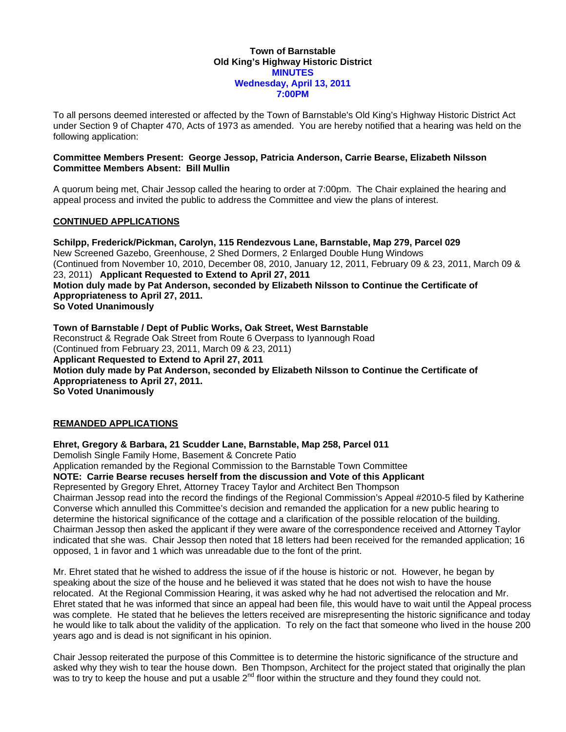## **Town of Barnstable Old King's Highway Historic District MINUTES Wednesday, April 13, 2011 7:00PM**

To all persons deemed interested or affected by the Town of Barnstable's Old King's Highway Historic District Act under Section 9 of Chapter 470, Acts of 1973 as amended. You are hereby notified that a hearing was held on the following application:

## **Committee Members Present: George Jessop, Patricia Anderson, Carrie Bearse, Elizabeth Nilsson Committee Members Absent: Bill Mullin**

A quorum being met, Chair Jessop called the hearing to order at 7:00pm. The Chair explained the hearing and appeal process and invited the public to address the Committee and view the plans of interest.

## **CONTINUED APPLICATIONS**

**Schilpp, Frederick/Pickman, Carolyn, 115 Rendezvous Lane, Barnstable, Map 279, Parcel 029**  New Screened Gazebo, Greenhouse, 2 Shed Dormers, 2 Enlarged Double Hung Windows (Continued from November 10, 2010, December 08, 2010, January 12, 2011, February 09 & 23, 2011, March 09 & 23, 2011) **Applicant Requested to Extend to April 27, 2011 Motion duly made by Pat Anderson, seconded by Elizabeth Nilsson to Continue the Certificate of Appropriateness to April 27, 2011. So Voted Unanimously** 

**Town of Barnstable / Dept of Public Works, Oak Street, West Barnstable**  Reconstruct & Regrade Oak Street from Route 6 Overpass to Iyannough Road (Continued from February 23, 2011, March 09 & 23, 2011) **Applicant Requested to Extend to April 27, 2011 Motion duly made by Pat Anderson, seconded by Elizabeth Nilsson to Continue the Certificate of Appropriateness to April 27, 2011. So Voted Unanimously** 

## **REMANDED APPLICATIONS**

**Ehret, Gregory & Barbara, 21 Scudder Lane, Barnstable, Map 258, Parcel 011** 

Demolish Single Family Home, Basement & Concrete Patio

Application remanded by the Regional Commission to the Barnstable Town Committee **NOTE: Carrie Bearse recuses herself from the discussion and Vote of this Applicant** 

Represented by Gregory Ehret, Attorney Tracey Taylor and Architect Ben Thompson

Chairman Jessop read into the record the findings of the Regional Commission's Appeal #2010-5 filed by Katherine Converse which annulled this Committee's decision and remanded the application for a new public hearing to determine the historical significance of the cottage and a clarification of the possible relocation of the building. Chairman Jessop then asked the applicant if they were aware of the correspondence received and Attorney Taylor indicated that she was. Chair Jessop then noted that 18 letters had been received for the remanded application; 16 opposed, 1 in favor and 1 which was unreadable due to the font of the print.

Mr. Ehret stated that he wished to address the issue of if the house is historic or not. However, he began by speaking about the size of the house and he believed it was stated that he does not wish to have the house relocated. At the Regional Commission Hearing, it was asked why he had not advertised the relocation and Mr. Ehret stated that he was informed that since an appeal had been file, this would have to wait until the Appeal process was complete. He stated that he believes the letters received are misrepresenting the historic significance and today he would like to talk about the validity of the application. To rely on the fact that someone who lived in the house 200 years ago and is dead is not significant in his opinion.

Chair Jessop reiterated the purpose of this Committee is to determine the historic significance of the structure and asked why they wish to tear the house down. Ben Thompson, Architect for the project stated that originally the plan was to try to keep the house and put a usable  $2^{nd}$  floor within the structure and they found they could not.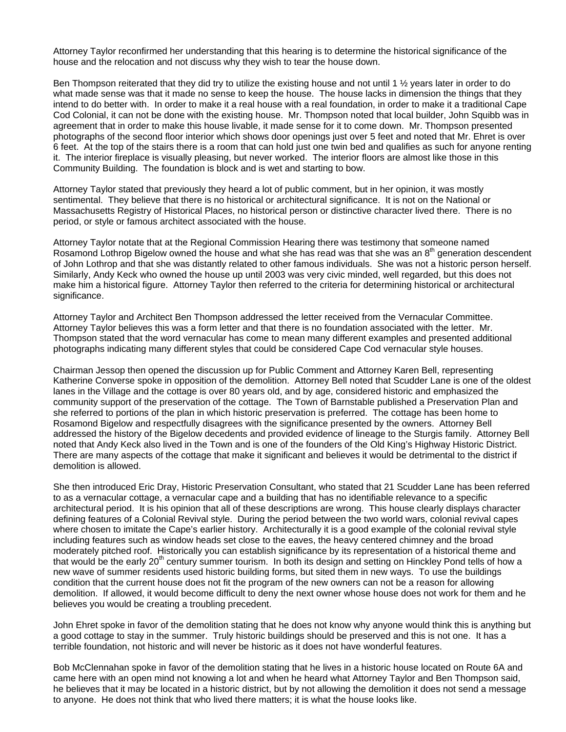Attorney Taylor reconfirmed her understanding that this hearing is to determine the historical significance of the house and the relocation and not discuss why they wish to tear the house down.

Ben Thompson reiterated that they did try to utilize the existing house and not until 1 1/<sub>2</sub> years later in order to do what made sense was that it made no sense to keep the house. The house lacks in dimension the things that they intend to do better with. In order to make it a real house with a real foundation, in order to make it a traditional Cape Cod Colonial, it can not be done with the existing house. Mr. Thompson noted that local builder, John Squibb was in agreement that in order to make this house livable, it made sense for it to come down. Mr. Thompson presented photographs of the second floor interior which shows door openings just over 5 feet and noted that Mr. Ehret is over 6 feet. At the top of the stairs there is a room that can hold just one twin bed and qualifies as such for anyone renting it. The interior fireplace is visually pleasing, but never worked. The interior floors are almost like those in this Community Building. The foundation is block and is wet and starting to bow.

Attorney Taylor stated that previously they heard a lot of public comment, but in her opinion, it was mostly sentimental. They believe that there is no historical or architectural significance. It is not on the National or Massachusetts Registry of Historical Places, no historical person or distinctive character lived there. There is no period, or style or famous architect associated with the house.

Attorney Taylor notate that at the Regional Commission Hearing there was testimony that someone named Rosamond Lothrop Bigelow owned the house and what she has read was that she was an 8<sup>th</sup> generation descendent of John Lothrop and that she was distantly related to other famous individuals. She was not a historic person herself. Similarly, Andy Keck who owned the house up until 2003 was very civic minded, well regarded, but this does not make him a historical figure. Attorney Taylor then referred to the criteria for determining historical or architectural significance.

Attorney Taylor and Architect Ben Thompson addressed the letter received from the Vernacular Committee. Attorney Taylor believes this was a form letter and that there is no foundation associated with the letter. Mr. Thompson stated that the word vernacular has come to mean many different examples and presented additional photographs indicating many different styles that could be considered Cape Cod vernacular style houses.

Chairman Jessop then opened the discussion up for Public Comment and Attorney Karen Bell, representing Katherine Converse spoke in opposition of the demolition. Attorney Bell noted that Scudder Lane is one of the oldest lanes in the Village and the cottage is over 80 years old, and by age, considered historic and emphasized the community support of the preservation of the cottage. The Town of Barnstable published a Preservation Plan and she referred to portions of the plan in which historic preservation is preferred. The cottage has been home to Rosamond Bigelow and respectfully disagrees with the significance presented by the owners. Attorney Bell addressed the history of the Bigelow decedents and provided evidence of lineage to the Sturgis family. Attorney Bell noted that Andy Keck also lived in the Town and is one of the founders of the Old King's Highway Historic District. There are many aspects of the cottage that make it significant and believes it would be detrimental to the district if demolition is allowed.

She then introduced Eric Dray, Historic Preservation Consultant, who stated that 21 Scudder Lane has been referred to as a vernacular cottage, a vernacular cape and a building that has no identifiable relevance to a specific architectural period. It is his opinion that all of these descriptions are wrong. This house clearly displays character defining features of a Colonial Revival style. During the period between the two world wars, colonial revival capes where chosen to imitate the Cape's earlier history. Architecturally it is a good example of the colonial revival style including features such as window heads set close to the eaves, the heavy centered chimney and the broad moderately pitched roof. Historically you can establish significance by its representation of a historical theme and that would be the early 20<sup>th</sup> century summer tourism. In both its design and setting on Hinckley Pond tells of how a new wave of summer residents used historic building forms, but sited them in new ways. To use the buildings condition that the current house does not fit the program of the new owners can not be a reason for allowing demolition. If allowed, it would become difficult to deny the next owner whose house does not work for them and he believes you would be creating a troubling precedent.

John Ehret spoke in favor of the demolition stating that he does not know why anyone would think this is anything but a good cottage to stay in the summer. Truly historic buildings should be preserved and this is not one. It has a terrible foundation, not historic and will never be historic as it does not have wonderful features.

Bob McClennahan spoke in favor of the demolition stating that he lives in a historic house located on Route 6A and came here with an open mind not knowing a lot and when he heard what Attorney Taylor and Ben Thompson said, he believes that it may be located in a historic district, but by not allowing the demolition it does not send a message to anyone. He does not think that who lived there matters; it is what the house looks like.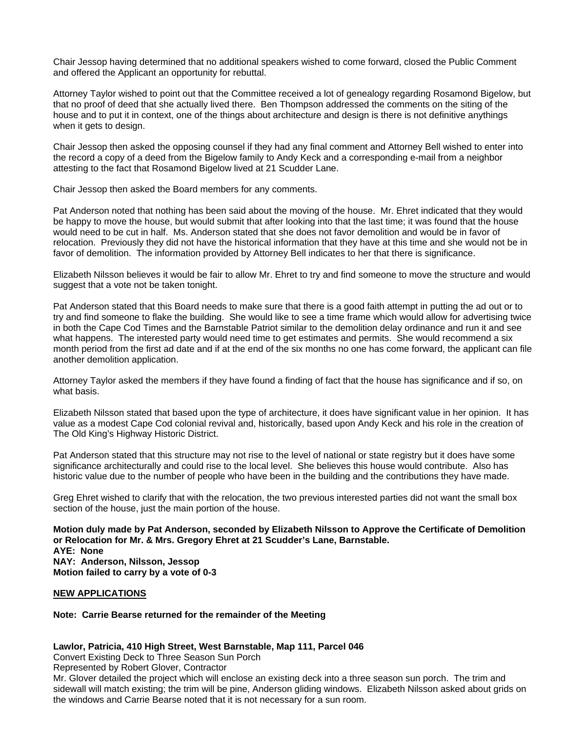Chair Jessop having determined that no additional speakers wished to come forward, closed the Public Comment and offered the Applicant an opportunity for rebuttal.

Attorney Taylor wished to point out that the Committee received a lot of genealogy regarding Rosamond Bigelow, but that no proof of deed that she actually lived there. Ben Thompson addressed the comments on the siting of the house and to put it in context, one of the things about architecture and design is there is not definitive anythings when it gets to design.

Chair Jessop then asked the opposing counsel if they had any final comment and Attorney Bell wished to enter into the record a copy of a deed from the Bigelow family to Andy Keck and a corresponding e-mail from a neighbor attesting to the fact that Rosamond Bigelow lived at 21 Scudder Lane.

Chair Jessop then asked the Board members for any comments.

Pat Anderson noted that nothing has been said about the moving of the house. Mr. Ehret indicated that they would be happy to move the house, but would submit that after looking into that the last time; it was found that the house would need to be cut in half. Ms. Anderson stated that she does not favor demolition and would be in favor of relocation. Previously they did not have the historical information that they have at this time and she would not be in favor of demolition. The information provided by Attorney Bell indicates to her that there is significance.

Elizabeth Nilsson believes it would be fair to allow Mr. Ehret to try and find someone to move the structure and would suggest that a vote not be taken tonight.

Pat Anderson stated that this Board needs to make sure that there is a good faith attempt in putting the ad out or to try and find someone to flake the building. She would like to see a time frame which would allow for advertising twice in both the Cape Cod Times and the Barnstable Patriot similar to the demolition delay ordinance and run it and see what happens. The interested party would need time to get estimates and permits. She would recommend a six month period from the first ad date and if at the end of the six months no one has come forward, the applicant can file another demolition application.

Attorney Taylor asked the members if they have found a finding of fact that the house has significance and if so, on what basis.

Elizabeth Nilsson stated that based upon the type of architecture, it does have significant value in her opinion. It has value as a modest Cape Cod colonial revival and, historically, based upon Andy Keck and his role in the creation of The Old King's Highway Historic District.

Pat Anderson stated that this structure may not rise to the level of national or state registry but it does have some significance architecturally and could rise to the local level. She believes this house would contribute. Also has historic value due to the number of people who have been in the building and the contributions they have made.

Greg Ehret wished to clarify that with the relocation, the two previous interested parties did not want the small box section of the house, just the main portion of the house.

**Motion duly made by Pat Anderson, seconded by Elizabeth Nilsson to Approve the Certificate of Demolition or Relocation for Mr. & Mrs. Gregory Ehret at 21 Scudder's Lane, Barnstable. AYE: None NAY: Anderson, Nilsson, Jessop Motion failed to carry by a vote of 0-3** 

#### **NEW APPLICATIONS**

## **Note: Carrie Bearse returned for the remainder of the Meeting**

## **Lawlor, Patricia, 410 High Street, West Barnstable, Map 111, Parcel 046**

Convert Existing Deck to Three Season Sun Porch

Represented by Robert Glover, Contractor

Mr. Glover detailed the project which will enclose an existing deck into a three season sun porch. The trim and sidewall will match existing; the trim will be pine, Anderson gliding windows. Elizabeth Nilsson asked about grids on the windows and Carrie Bearse noted that it is not necessary for a sun room.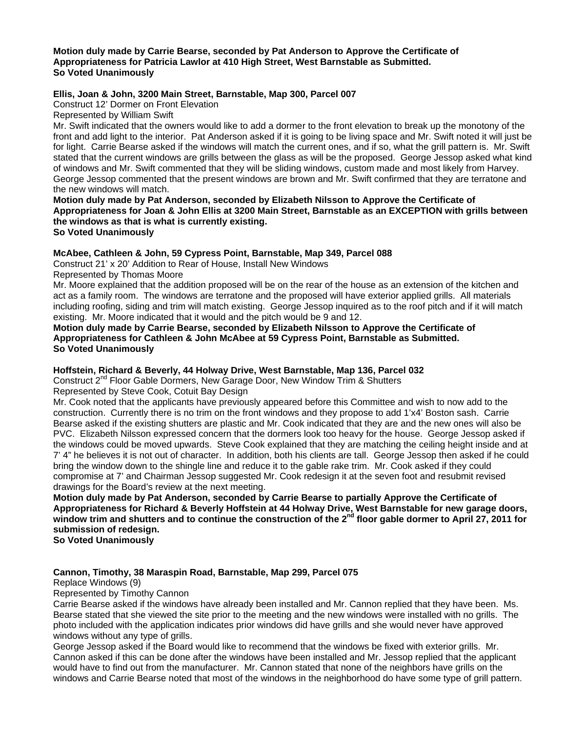#### **Motion duly made by Carrie Bearse, seconded by Pat Anderson to Approve the Certificate of Appropriateness for Patricia Lawlor at 410 High Street, West Barnstable as Submitted. So Voted Unanimously**

# **Ellis, Joan & John, 3200 Main Street, Barnstable, Map 300, Parcel 007**

Construct 12' Dormer on Front Elevation

Represented by William Swift

Mr. Swift indicated that the owners would like to add a dormer to the front elevation to break up the monotony of the front and add light to the interior. Pat Anderson asked if it is going to be living space and Mr. Swift noted it will just be for light. Carrie Bearse asked if the windows will match the current ones, and if so, what the grill pattern is. Mr. Swift stated that the current windows are grills between the glass as will be the proposed. George Jessop asked what kind of windows and Mr. Swift commented that they will be sliding windows, custom made and most likely from Harvey. George Jessop commented that the present windows are brown and Mr. Swift confirmed that they are terratone and the new windows will match.

**Motion duly made by Pat Anderson, seconded by Elizabeth Nilsson to Approve the Certificate of Appropriateness for Joan & John Ellis at 3200 Main Street, Barnstable as an EXCEPTION with grills between the windows as that is what is currently existing. So Voted Unanimously** 

## **McAbee, Cathleen & John, 59 Cypress Point, Barnstable, Map 349, Parcel 088**

Construct 21' x 20' Addition to Rear of House, Install New Windows

Represented by Thomas Moore

Mr. Moore explained that the addition proposed will be on the rear of the house as an extension of the kitchen and act as a family room. The windows are terratone and the proposed will have exterior applied grills. All materials including roofing, siding and trim will match existing. George Jessop inquired as to the roof pitch and if it will match existing. Mr. Moore indicated that it would and the pitch would be 9 and 12.

**Motion duly made by Carrie Bearse, seconded by Elizabeth Nilsson to Approve the Certificate of Appropriateness for Cathleen & John McAbee at 59 Cypress Point, Barnstable as Submitted. So Voted Unanimously** 

# **Hoffstein, Richard & Beverly, 44 Holway Drive, West Barnstable, Map 136, Parcel 032**

Construct 2<sup>nd</sup> Floor Gable Dormers, New Garage Door, New Window Trim & Shutters

Represented by Steve Cook, Cotuit Bay Design

Mr. Cook noted that the applicants have previously appeared before this Committee and wish to now add to the construction. Currently there is no trim on the front windows and they propose to add 1'x4' Boston sash. Carrie Bearse asked if the existing shutters are plastic and Mr. Cook indicated that they are and the new ones will also be PVC. Elizabeth Nilsson expressed concern that the dormers look too heavy for the house. George Jessop asked if the windows could be moved upwards. Steve Cook explained that they are matching the ceiling height inside and at 7' 4" he believes it is not out of character. In addition, both his clients are tall. George Jessop then asked if he could bring the window down to the shingle line and reduce it to the gable rake trim. Mr. Cook asked if they could compromise at 7' and Chairman Jessop suggested Mr. Cook redesign it at the seven foot and resubmit revised drawings for the Board's review at the next meeting.

**Motion duly made by Pat Anderson, seconded by Carrie Bearse to partially Approve the Certificate of Appropriateness for Richard & Beverly Hoffstein at 44 Holway Drive, West Barnstable for new garage doors,**  window trim and shutters and to continue the construction of the 2<sup>nd</sup> floor gable dormer to April 27, 2011 for **submission of redesign.** 

**So Voted Unanimously** 

# **Cannon, Timothy, 38 Maraspin Road, Barnstable, Map 299, Parcel 075**

Replace Windows (9)

Represented by Timothy Cannon

Carrie Bearse asked if the windows have already been installed and Mr. Cannon replied that they have been. Ms. Bearse stated that she viewed the site prior to the meeting and the new windows were installed with no grills. The photo included with the application indicates prior windows did have grills and she would never have approved windows without any type of grills.

George Jessop asked if the Board would like to recommend that the windows be fixed with exterior grills. Mr. Cannon asked if this can be done after the windows have been installed and Mr. Jessop replied that the applicant would have to find out from the manufacturer. Mr. Cannon stated that none of the neighbors have grills on the windows and Carrie Bearse noted that most of the windows in the neighborhood do have some type of grill pattern.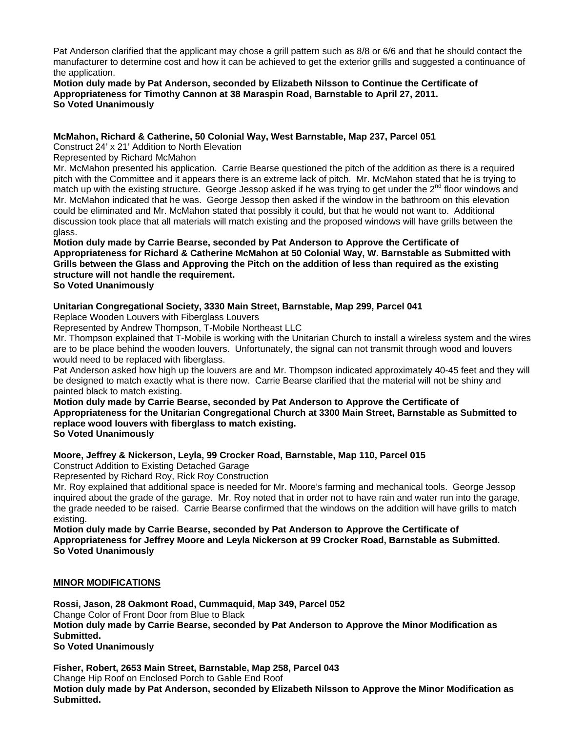Pat Anderson clarified that the applicant may chose a grill pattern such as 8/8 or 6/6 and that he should contact the manufacturer to determine cost and how it can be achieved to get the exterior grills and suggested a continuance of the application.

## **Motion duly made by Pat Anderson, seconded by Elizabeth Nilsson to Continue the Certificate of Appropriateness for Timothy Cannon at 38 Maraspin Road, Barnstable to April 27, 2011. So Voted Unanimously**

## **McMahon, Richard & Catherine, 50 Colonial Way, West Barnstable, Map 237, Parcel 051**

Construct 24' x 21' Addition to North Elevation

Represented by Richard McMahon

Mr. McMahon presented his application. Carrie Bearse questioned the pitch of the addition as there is a required pitch with the Committee and it appears there is an extreme lack of pitch. Mr. McMahon stated that he is trying to match up with the existing structure. George Jessop asked if he was trying to get under the 2<sup>nd</sup> floor windows and Mr. McMahon indicated that he was. George Jessop then asked if the window in the bathroom on this elevation could be eliminated and Mr. McMahon stated that possibly it could, but that he would not want to. Additional discussion took place that all materials will match existing and the proposed windows will have grills between the glass.

**Motion duly made by Carrie Bearse, seconded by Pat Anderson to Approve the Certificate of Appropriateness for Richard & Catherine McMahon at 50 Colonial Way, W. Barnstable as Submitted with Grills between the Glass and Approving the Pitch on the addition of less than required as the existing structure will not handle the requirement. So Voted Unanimously** 

# **Unitarian Congregational Society, 3330 Main Street, Barnstable, Map 299, Parcel 041**

Replace Wooden Louvers with Fiberglass Louvers

Represented by Andrew Thompson, T-Mobile Northeast LLC

Mr. Thompson explained that T-Mobile is working with the Unitarian Church to install a wireless system and the wires are to be place behind the wooden louvers. Unfortunately, the signal can not transmit through wood and louvers would need to be replaced with fiberglass.

Pat Anderson asked how high up the louvers are and Mr. Thompson indicated approximately 40-45 feet and they will be designed to match exactly what is there now. Carrie Bearse clarified that the material will not be shiny and painted black to match existing.

**Motion duly made by Carrie Bearse, seconded by Pat Anderson to Approve the Certificate of Appropriateness for the Unitarian Congregational Church at 3300 Main Street, Barnstable as Submitted to replace wood louvers with fiberglass to match existing.** 

**So Voted Unanimously** 

# **Moore, Jeffrey & Nickerson, Leyla, 99 Crocker Road, Barnstable, Map 110, Parcel 015**

Construct Addition to Existing Detached Garage

Represented by Richard Roy, Rick Roy Construction

Mr. Roy explained that additional space is needed for Mr. Moore's farming and mechanical tools. George Jessop inquired about the grade of the garage. Mr. Roy noted that in order not to have rain and water run into the garage, the grade needed to be raised. Carrie Bearse confirmed that the windows on the addition will have grills to match existing.

**Motion duly made by Carrie Bearse, seconded by Pat Anderson to Approve the Certificate of Appropriateness for Jeffrey Moore and Leyla Nickerson at 99 Crocker Road, Barnstable as Submitted. So Voted Unanimously** 

## **MINOR MODIFICATIONS**

**Rossi, Jason, 28 Oakmont Road, Cummaquid, Map 349, Parcel 052**  Change Color of Front Door from Blue to Black **Motion duly made by Carrie Bearse, seconded by Pat Anderson to Approve the Minor Modification as Submitted. So Voted Unanimously** 

**Fisher, Robert, 2653 Main Street, Barnstable, Map 258, Parcel 043**  Change Hip Roof on Enclosed Porch to Gable End Roof **Motion duly made by Pat Anderson, seconded by Elizabeth Nilsson to Approve the Minor Modification as Submitted.**